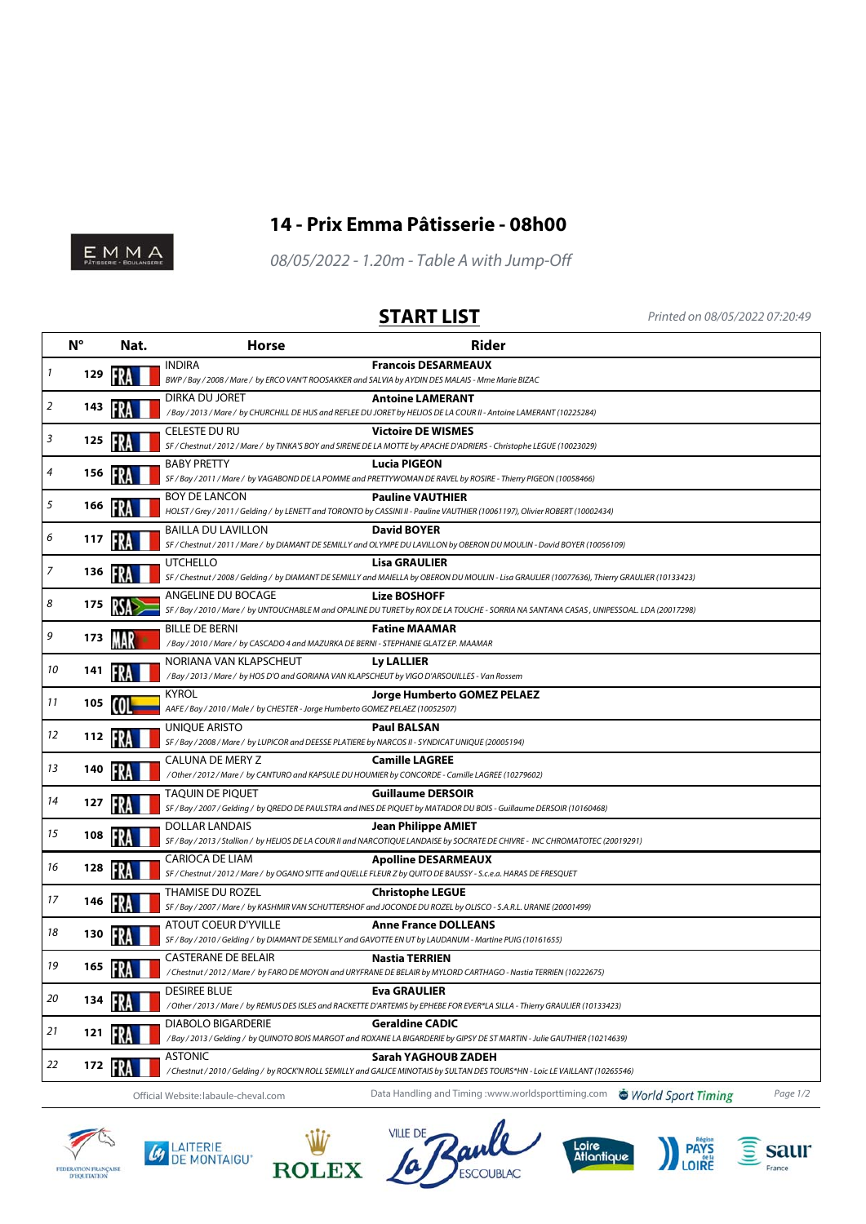

## **14 - Prix Emma Pâtisserie - 08h00**

 $E_{\text{PATUBISRIE}} \sim 10^{14} \text{A}$ 

08/05/2022 - 1.20m - Table A with Jump-Off

**START LIST** Printed on 08/05/2022 07:20:49

|    | $N^{\circ}$ | Nat. | <b>Horse</b>                                                                                                                             | <b>Rider</b>                                                                                                                                                           |
|----|-------------|------|------------------------------------------------------------------------------------------------------------------------------------------|------------------------------------------------------------------------------------------------------------------------------------------------------------------------|
| 1  | 129         |      | <b>INDIRA</b><br>BWP / Bay / 2008 / Mare / by ERCO VAN'T ROOSAKKER and SALVIA by AYDIN DES MALAIS - Mme Marie BIZAC                      | <b>Francois DESARMEAUX</b>                                                                                                                                             |
| 2  | 143         |      | DIRKA DU JORET                                                                                                                           | <b>Antoine LAMERANT</b><br>/Bay / 2013 / Mare / by CHURCHILL DE HUS and REFLEE DU JORET by HELIOS DE LA COUR II - Antoine LAMERANT (10225284)                          |
| 3  | 125         |      | <b>CELESTE DU RU</b>                                                                                                                     | <b>Victoire DE WISMES</b><br>SF / Chestnut / 2012 / Mare / by TINKA'S BOY and SIRENE DE LA MOTTE by APACHE D'ADRIERS - Christophe LEGUE (10023029)                     |
| 4  | 156         |      | <b>BABY PRETTY</b>                                                                                                                       | <b>Lucia PIGEON</b><br>SF / Bay / 2011 / Mare / by VAGABOND DE LA POMME and PRETTYWOMAN DE RAVEL by ROSIRE - Thierry PIGEON (10058466)                                 |
| 5  | 166         |      | <b>BOY DE LANCON</b>                                                                                                                     | <b>Pauline VAUTHIER</b><br>HOLST / Grey / 2011 / Gelding / by LENETT and TORONTO by CASSINI II - Pauline VAUTHIER (10061197), Olivier ROBERT (10002434)                |
| 6  | 117         |      | <b>BAILLA DU LAVILLON</b>                                                                                                                | <b>David BOYER</b><br>SF / Chestnut / 2011 / Mare / by DIAMANT DE SEMILLY and OLYMPE DU LAVILLON by OBERON DU MOULIN - David BOYER (10056109)                          |
| 7  | 136         | FR.  | <b>UTCHELLO</b>                                                                                                                          | <b>Lisa GRAULIER</b><br>SF / Chestnut / 2008 / Gelding / by DIAMANT DE SEMILLY and MAIELLA by OBERON DU MOULIN - Lisa GRAULIER (10077636), Thierry GRAULIER (10133423) |
| 8  | 175         |      | ANGELINE DU BOCAGE                                                                                                                       | <b>Lize BOSHOFF</b><br>SF / Bay / 2010 / Mare / by UNTOUCHABLE M and OPALINE DU TURET by ROX DE LA TOUCHE - SORRIA NA SANTANA CASAS, UNIPESSOAL. LDA (20017298)        |
| 9  | 173         |      | <b>BILLE DE BERNI</b><br>/Bay / 2010 / Mare / by CASCADO 4 and MAZURKA DE BERNI - STEPHANIE GLATZ EP. MAAMAR                             | <b>Fatine MAAMAR</b>                                                                                                                                                   |
| 10 | 141         |      | NORIANA VAN KLAPSCHEUT<br>/Bay / 2013 / Mare / by HOS D'O and GORIANA VAN KLAPSCHEUT by VIGO D'ARSOUILLES - Van Rossem                   | Ly LALLIER                                                                                                                                                             |
| 11 | 105         | m    | <b>KYROL</b><br>AAFE / Bay / 2010 / Male / by CHESTER - Jorge Humberto GOMEZ PELAEZ (10052507)                                           | <b>Jorge Humberto GOMEZ PELAEZ</b>                                                                                                                                     |
| 12 | 112         |      | <b>UNIOUE ARISTO</b><br>SF / Bay / 2008 / Mare / by LUPICOR and DEESSE PLATIERE by NARCOS II - SYNDICAT UNIQUE (20005194)                | <b>Paul BALSAN</b>                                                                                                                                                     |
| 13 | 140         |      | CALUNA DE MERY Z<br>/ Other / 2012 / Mare / by CANTURO and KAPSULE DU HOUMIER by CONCORDE - Camille LAGREE (10279602)                    | <b>Camille LAGREE</b>                                                                                                                                                  |
| 14 | 127         | FRA  | <b>TAQUIN DE PIQUET</b>                                                                                                                  | <b>Guillaume DERSOIR</b><br>SF / Bay / 2007 / Gelding / by QREDO DE PAULSTRA and INES DE PIQUET by MATADOR DU BOIS - Guillaume DERSOIR (10160468)                      |
| 15 | 108         |      | DOLLAR LANDAIS                                                                                                                           | <b>Jean Philippe AMIET</b><br>SF / Bay / 2013 / Stallion / by HELIOS DE LA COUR II and NARCOTIQUE LANDAISE by SOCRATE DE CHIVRE - INC CHROMATOTEC (20019291)           |
| 16 | 128         | FR   | CARIOCA DE LIAM                                                                                                                          | <b>Apolline DESARMEAUX</b><br>SF / Chestnut / 2012 / Mare / by OGANO SITTE and QUELLE FLEUR Z by QUITO DE BAUSSY - S.c.e.a. HARAS DE FRESQUET                          |
| 17 | 146         |      | THAMISE DU ROZEL                                                                                                                         | <b>Christophe LEGUE</b><br>SF / Bay / 2007 / Mare / by KASHMIR VAN SCHUTTERSHOF and JOCONDE DU ROZEL by OLISCO - S.A.R.L. URANIE (20001499)                            |
| 18 | 130         |      | <b>ATOUT COEUR D'YVILLE</b><br>SF / Bay / 2010 / Gelding / by DIAMANT DE SEMILLY and GAVOTTE EN UT by LAUDANUM - Martine PUIG (10161655) | <b>Anne France DOLLEANS</b>                                                                                                                                            |
| 19 | 165         |      | <b>CASTERANE DE BELAIR</b>                                                                                                               | <b>Nastia TERRIEN</b><br>/Chestnut / 2012 / Mare / by FARO DE MOYON and URYFRANE DE BELAIR by MYLORD CARTHAGO - Nastia TERRIEN (10222675)                              |
| 20 | 134         |      | <b>DESIREE BLUE</b>                                                                                                                      | <b>Eva GRAULIER</b><br>/ Other / 2013 / Mare / by REMUS DES ISLES and RACKETTE D'ARTEMIS by EPHEBE FOR EVER*LA SILLA - Thierry GRAULIER (10133423)                     |
| 21 | 121         |      | <b>DIABOLO BIGARDERIE</b>                                                                                                                | <b>Geraldine CADIC</b><br>/Bay / 2013 / Gelding / by QUINOTO BOIS MARGOT and ROXANE LA BIGARDERIE by GIPSY DE ST MARTIN - Julie GAUTHIER (10214639)                    |
| 22 | 172         | FRA  | ASTONIC                                                                                                                                  | Sarah YAGHOUB ZADEH<br>/Chestnut/2010/Gelding/by ROCK'N ROLL SEMILLY and GALICE MINOTAIS by SULTAN DES TOURS*HN - Loic LE VAILLANT (10265546)                          |
|    |             |      | Official Website: labaule-cheval.com                                                                                                     | Data Handling and Timing: www.worldsporttiming.com  World Sport Timing<br>Page 1/2                                                                                     |

FIDERATION FRANÇAISE<br>D'EQUITATION









France